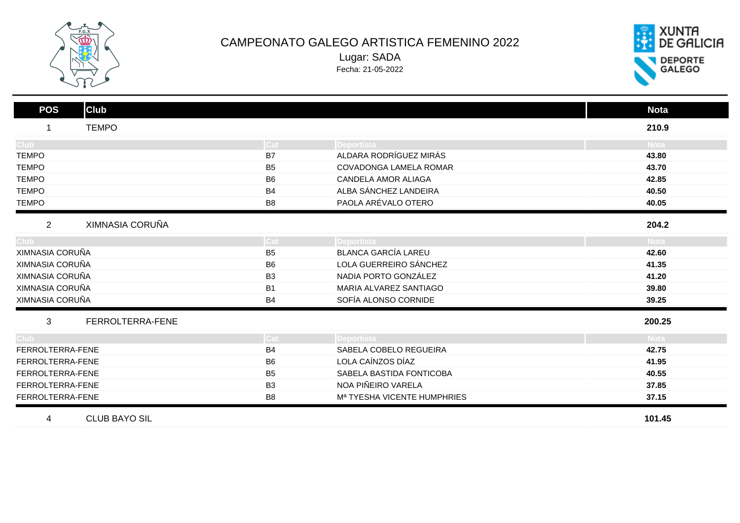

## CAMPEONATO GALEGO ARTISTICA FEMENINO 2022 Lugar: SADA Fecha: 21-05-2022



| <b>Club</b><br><b>POS</b>         |                |                                         | <b>Nota</b> |
|-----------------------------------|----------------|-----------------------------------------|-------------|
| <b>TEMPO</b>                      |                |                                         | 210.9       |
| Club <sup>-</sup>                 | Cat            | Deportista                              | <b>Nota</b> |
| <b>TEMPO</b>                      | B7             | ALDARA RODRÍGUEZ MIRÁS                  | 43.80       |
| <b>TEMPO</b>                      | B <sub>5</sub> | COVADONGA LAMELA ROMAR                  | 43.70       |
| <b>TEMPO</b>                      | B <sub>6</sub> | <b>CANDELA AMOR ALIAGA</b>              | 42.85       |
| <b>TEMPO</b>                      | <b>B4</b>      | ALBA SÁNCHEZ LANDEIRA                   | 40.50       |
| <b>TEMPO</b>                      | B <sub>8</sub> | PAOLA ARÉVALO OTERO                     | 40.05       |
| XIMNASIA CORUÑA<br>$\overline{2}$ |                |                                         | 204.2       |
| Club <sup>-</sup>                 | Cat            | Deportista                              | <b>Nota</b> |
| XIMNASIA CORUÑA                   | B <sub>5</sub> | <b>BLANCA GARCÍA LAREU</b>              | 42.60       |
| XIMNASIA CORUÑA                   | B <sub>6</sub> | LOLA GUERREIRO SÁNCHEZ                  | 41.35       |
| XIMNASIA CORUÑA                   | B <sub>3</sub> | NADIA PORTO GONZÁLEZ                    | 41.20       |
| XIMNASIA CORUÑA                   | <b>B1</b>      | MARIA ALVAREZ SANTIAGO                  | 39.80       |
| XIMNASIA CORUÑA                   | <b>B4</b>      | SOFÍA ALONSO CORNIDE                    | 39.25       |
| FERROLTERRA-FENE<br>3             |                |                                         | 200.25      |
| Club <sup>-</sup>                 | Cat            | <b>IDeportista</b>                      | <b>Nota</b> |
| FERROLTERRA-FENE                  | <b>B4</b>      | SABELA COBELO REGUEIRA                  | 42.75       |
| FERROLTERRA-FENE                  | B <sub>6</sub> | LOLA CAÍNZOS DÍAZ                       | 41.95       |
| FERROLTERRA-FENE                  | B <sub>5</sub> | SABELA BASTIDA FONTICOBA                | 40.55       |
| FERROLTERRA-FENE                  | B <sub>3</sub> | NOA PIÑEIRO VARELA                      | 37.85       |
| FERROLTERRA-FENE                  | B <sub>8</sub> | M <sup>a</sup> TYESHA VICENTE HUMPHRIES | 37.15       |
| <b>CLUB BAYO SIL</b><br>4         |                |                                         | 101.45      |